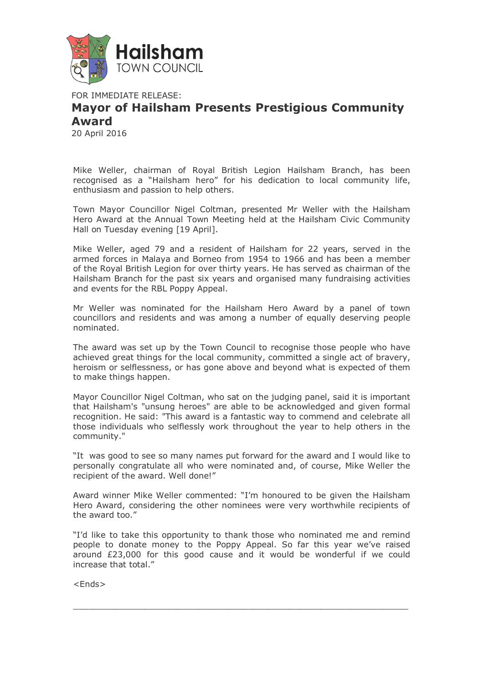

FOR IMMEDIATE RELEASE:

## **Mayor of Hailsham Presents Prestigious Community Award**

20 April 2016

Mike Weller, chairman of Royal British Legion Hailsham Branch, has been recognised as a "Hailsham hero" for his dedication to local community life, enthusiasm and passion to help others.

Town Mayor Councillor Nigel Coltman, presented Mr Weller with the Hailsham Hero Award at the Annual Town Meeting held at the Hailsham Civic Community Hall on Tuesday evening [19 April].

Mike Weller, aged 79 and a resident of Hailsham for 22 years, served in the armed forces in Malaya and Borneo from 1954 to 1966 and has been a member of the Royal British Legion for over thirty years. He has served as chairman of the Hailsham Branch for the past six years and organised many fundraising activities and events for the RBL Poppy Appeal.

Mr Weller was nominated for the Hailsham Hero Award by a panel of town councillors and residents and was among a number of equally deserving people nominated.

The award was set up by the Town Council to recognise those people who have achieved great things for the local community, committed a single act of bravery, heroism or selflessness, or has gone above and beyond what is expected of them to make things happen.

Mayor Councillor Nigel Coltman, who sat on the judging panel, said it is important that Hailsham's "unsung heroes" are able to be acknowledged and given formal recognition. He said: "This award is a fantastic way to commend and celebrate all those individuals who selflessly work throughout the year to help others in the community."

"It was good to see so many names put forward for the award and I would like to personally congratulate all who were nominated and, of course, Mike Weller the recipient of the award. Well done!"

Award winner Mike Weller commented: "I'm honoured to be given the Hailsham Hero Award, considering the other nominees were very worthwhile recipients of the award too."

"I'd like to take this opportunity to thank those who nominated me and remind people to donate money to the Poppy Appeal. So far this year we've raised around £23,000 for this good cause and it would be wonderful if we could increase that total."

 $\overline{a}$  , and the set of the set of the set of the set of the set of the set of the set of the set of the set of the set of the set of the set of the set of the set of the set of the set of the set of the set of the set

<Ends>